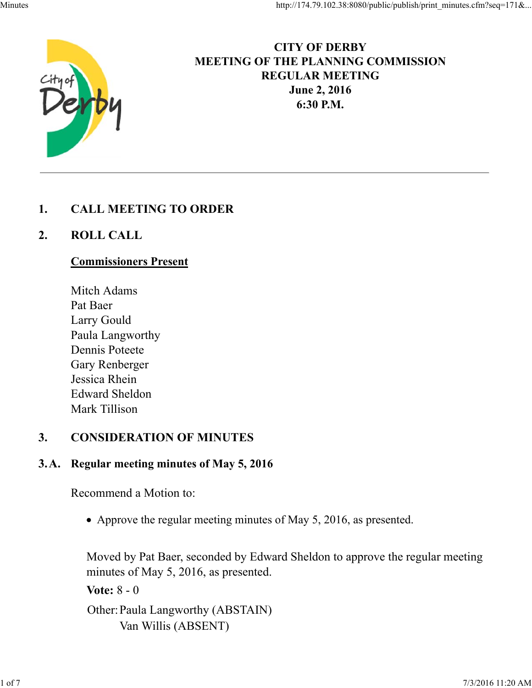

# **CITY OF DERBY MEETING OF THE PLANNING COMMISSION REGULAR MEETING June 2, 2016 6:30 P.M.**

### **1. CALL MEETING TO ORDER**

### **2. ROLL CALL**

#### **Commissioners Present**

Mitch Adams Pat Baer Larry Gould Paula Langworthy Dennis Poteete Gary Renberger Jessica Rhein Edward Sheldon Mark Tillison

#### **3. CONSIDERATION OF MINUTES**

#### **3.A. Regular meeting minutes of May 5, 2016**

Recommend a Motion to:

• Approve the regular meeting minutes of May 5, 2016, as presented.

Moved by Pat Baer, seconded by Edward Sheldon to approve the regular meeting minutes of May 5, 2016, as presented.

**Vote:** 8 - 0

Other:Paula Langworthy (ABSTAIN) Van Willis (ABSENT)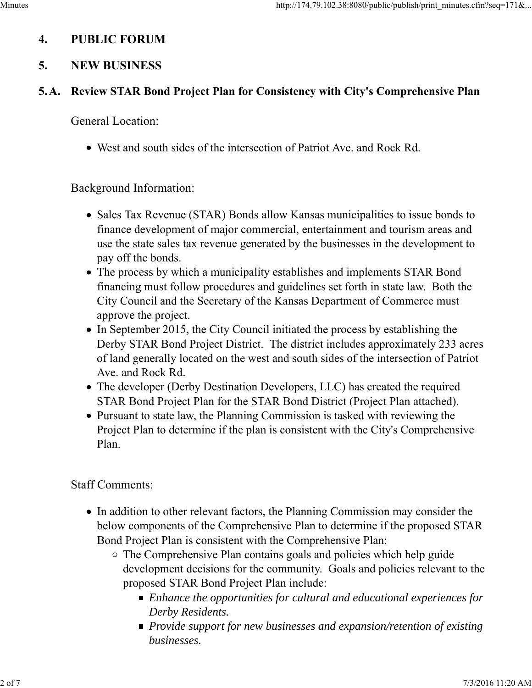# **4. PUBLIC FORUM**

# **5. NEW BUSINESS**

## **5.A. Review STAR Bond Project Plan for Consistency with City's Comprehensive Plan**

General Location:

West and south sides of the intersection of Patriot Ave. and Rock Rd.

### Background Information:

- Sales Tax Revenue (STAR) Bonds allow Kansas municipalities to issue bonds to finance development of major commercial, entertainment and tourism areas and use the state sales tax revenue generated by the businesses in the development to pay off the bonds.
- The process by which a municipality establishes and implements STAR Bond financing must follow procedures and guidelines set forth in state law. Both the City Council and the Secretary of the Kansas Department of Commerce must approve the project.
- In September 2015, the City Council initiated the process by establishing the Derby STAR Bond Project District. The district includes approximately 233 acres of land generally located on the west and south sides of the intersection of Patriot Ave. and Rock Rd.
- The developer (Derby Destination Developers, LLC) has created the required STAR Bond Project Plan for the STAR Bond District (Project Plan attached).
- Pursuant to state law, the Planning Commission is tasked with reviewing the Project Plan to determine if the plan is consistent with the City's Comprehensive Plan.

# Staff Comments:

- In addition to other relevant factors, the Planning Commission may consider the below components of the Comprehensive Plan to determine if the proposed STAR Bond Project Plan is consistent with the Comprehensive Plan:
	- The Comprehensive Plan contains goals and policies which help guide development decisions for the community. Goals and policies relevant to the proposed STAR Bond Project Plan include:
		- *Enhance the opportunities for cultural and educational experiences for Derby Residents.*
		- *Provide support for new businesses and expansion/retention of existing businesses.*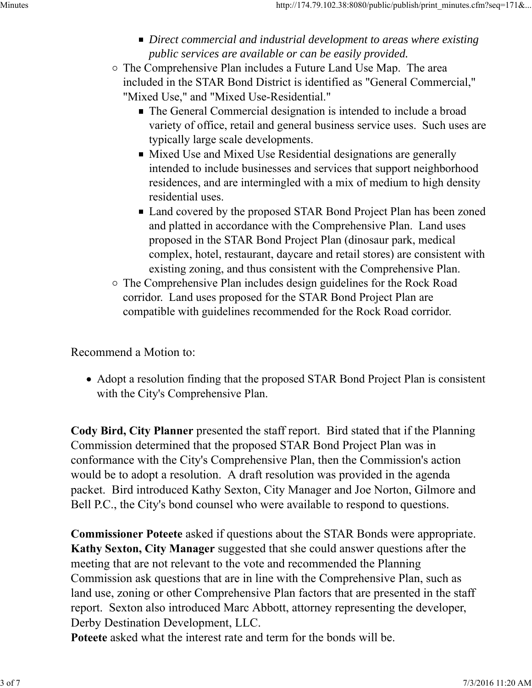- *Direct commercial and industrial development to areas where existing public services are available or can be easily provided.*
- The Comprehensive Plan includes a Future Land Use Map. The area included in the STAR Bond District is identified as "General Commercial," "Mixed Use," and "Mixed Use-Residential."
	- The General Commercial designation is intended to include a broad variety of office, retail and general business service uses. Such uses are typically large scale developments.
	- Mixed Use and Mixed Use Residential designations are generally intended to include businesses and services that support neighborhood residences, and are intermingled with a mix of medium to high density residential uses.
	- Land covered by the proposed STAR Bond Project Plan has been zoned and platted in accordance with the Comprehensive Plan. Land uses proposed in the STAR Bond Project Plan (dinosaur park, medical complex, hotel, restaurant, daycare and retail stores) are consistent with existing zoning, and thus consistent with the Comprehensive Plan.
- The Comprehensive Plan includes design guidelines for the Rock Road corridor. Land uses proposed for the STAR Bond Project Plan are compatible with guidelines recommended for the Rock Road corridor.

Recommend a Motion to:

Adopt a resolution finding that the proposed STAR Bond Project Plan is consistent with the City's Comprehensive Plan.

**Cody Bird, City Planner** presented the staff report. Bird stated that if the Planning Commission determined that the proposed STAR Bond Project Plan was in conformance with the City's Comprehensive Plan, then the Commission's action would be to adopt a resolution. A draft resolution was provided in the agenda packet. Bird introduced Kathy Sexton, City Manager and Joe Norton, Gilmore and Bell P.C., the City's bond counsel who were available to respond to questions.

**Commissioner Poteete** asked if questions about the STAR Bonds were appropriate. **Kathy Sexton, City Manager** suggested that she could answer questions after the meeting that are not relevant to the vote and recommended the Planning Commission ask questions that are in line with the Comprehensive Plan, such as land use, zoning or other Comprehensive Plan factors that are presented in the staff report. Sexton also introduced Marc Abbott, attorney representing the developer, Derby Destination Development, LLC.

**Poteete** asked what the interest rate and term for the bonds will be.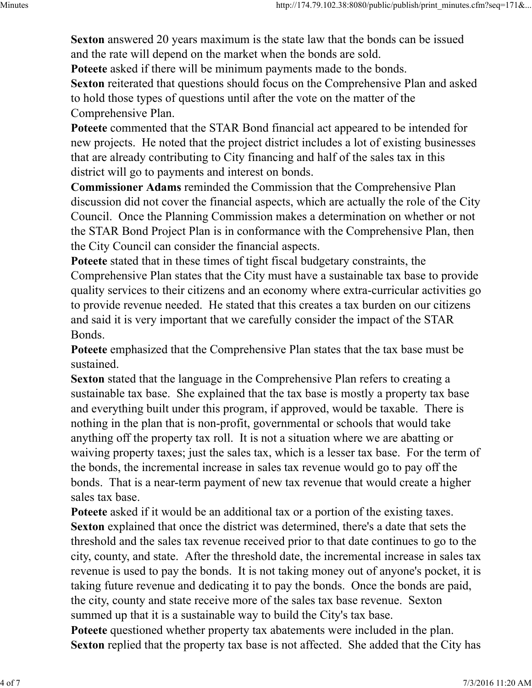**Sexton** answered 20 years maximum is the state law that the bonds can be issued and the rate will depend on the market when the bonds are sold.

**Poteete** asked if there will be minimum payments made to the bonds.

**Sexton** reiterated that questions should focus on the Comprehensive Plan and asked to hold those types of questions until after the vote on the matter of the Comprehensive Plan.

**Poteete** commented that the STAR Bond financial act appeared to be intended for new projects. He noted that the project district includes a lot of existing businesses that are already contributing to City financing and half of the sales tax in this district will go to payments and interest on bonds.

**Commissioner Adams** reminded the Commission that the Comprehensive Plan discussion did not cover the financial aspects, which are actually the role of the City Council. Once the Planning Commission makes a determination on whether or not the STAR Bond Project Plan is in conformance with the Comprehensive Plan, then the City Council can consider the financial aspects.

**Poteete** stated that in these times of tight fiscal budgetary constraints, the Comprehensive Plan states that the City must have a sustainable tax base to provide quality services to their citizens and an economy where extra-curricular activities go to provide revenue needed. He stated that this creates a tax burden on our citizens and said it is very important that we carefully consider the impact of the STAR Bonds.

**Poteete** emphasized that the Comprehensive Plan states that the tax base must be sustained.

**Sexton** stated that the language in the Comprehensive Plan refers to creating a sustainable tax base. She explained that the tax base is mostly a property tax base and everything built under this program, if approved, would be taxable. There is nothing in the plan that is non-profit, governmental or schools that would take anything off the property tax roll. It is not a situation where we are abatting or waiving property taxes; just the sales tax, which is a lesser tax base. For the term of the bonds, the incremental increase in sales tax revenue would go to pay off the bonds. That is a near-term payment of new tax revenue that would create a higher sales tax base.

**Poteete** asked if it would be an additional tax or a portion of the existing taxes. **Sexton** explained that once the district was determined, there's a date that sets the threshold and the sales tax revenue received prior to that date continues to go to the city, county, and state. After the threshold date, the incremental increase in sales tax revenue is used to pay the bonds. It is not taking money out of anyone's pocket, it is taking future revenue and dedicating it to pay the bonds. Once the bonds are paid, the city, county and state receive more of the sales tax base revenue. Sexton summed up that it is a sustainable way to build the City's tax base. **Poteete** questioned whether property tax abatements were included in the plan. **Sexton** replied that the property tax base is not affected. She added that the City has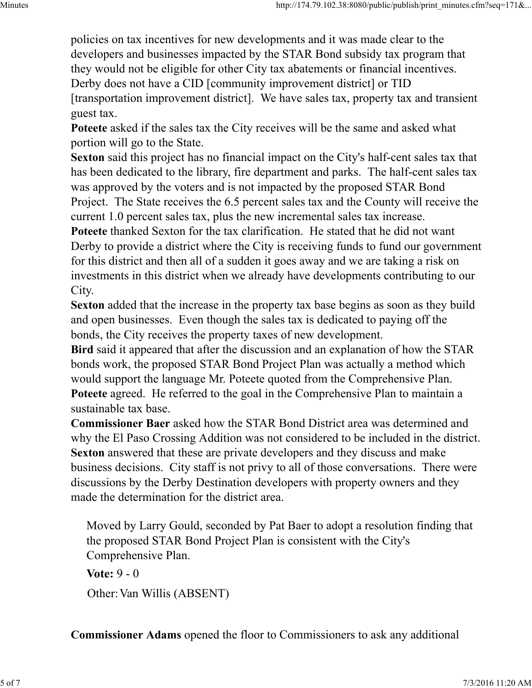policies on tax incentives for new developments and it was made clear to the developers and businesses impacted by the STAR Bond subsidy tax program that they would not be eligible for other City tax abatements or financial incentives. Derby does not have a CID [community improvement district] or TID [transportation improvement district]. We have sales tax, property tax and transient guest tax.

**Poteete** asked if the sales tax the City receives will be the same and asked what portion will go to the State.

**Sexton** said this project has no financial impact on the City's half-cent sales tax that has been dedicated to the library, fire department and parks. The half-cent sales tax was approved by the voters and is not impacted by the proposed STAR Bond Project. The State receives the 6.5 percent sales tax and the County will receive the current 1.0 percent sales tax, plus the new incremental sales tax increase. **Poteete** thanked Sexton for the tax clarification. He stated that he did not want Derby to provide a district where the City is receiving funds to fund our government for this district and then all of a sudden it goes away and we are taking a risk on investments in this district when we already have developments contributing to our

City.

**Sexton** added that the increase in the property tax base begins as soon as they build and open businesses. Even though the sales tax is dedicated to paying off the bonds, the City receives the property taxes of new development.

**Bird** said it appeared that after the discussion and an explanation of how the STAR bonds work, the proposed STAR Bond Project Plan was actually a method which would support the language Mr. Poteete quoted from the Comprehensive Plan. **Poteete** agreed. He referred to the goal in the Comprehensive Plan to maintain a sustainable tax base.

**Commissioner Baer** asked how the STAR Bond District area was determined and why the El Paso Crossing Addition was not considered to be included in the district. **Sexton** answered that these are private developers and they discuss and make business decisions. City staff is not privy to all of those conversations. There were discussions by the Derby Destination developers with property owners and they made the determination for the district area.

Moved by Larry Gould, seconded by Pat Baer to adopt a resolution finding that the proposed STAR Bond Project Plan is consistent with the City's Comprehensive Plan.

**Vote:** 9 - 0 Other: Van Willis (ABSENT)

**Commissioner Adams** opened the floor to Commissioners to ask any additional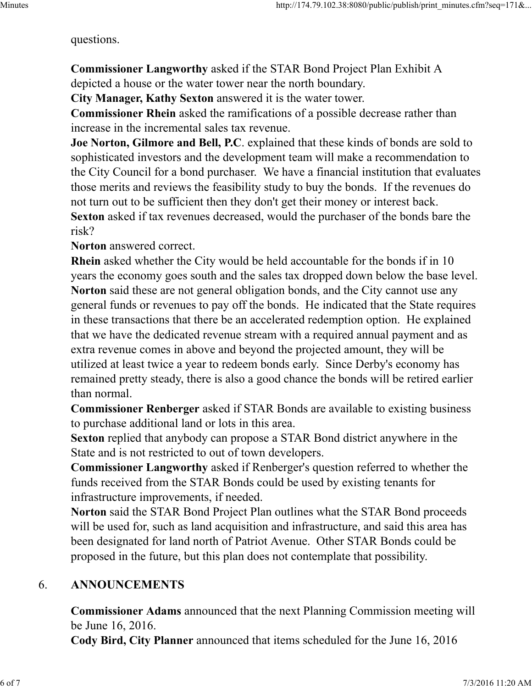questions.

**Commissioner Langworthy** asked if the STAR Bond Project Plan Exhibit A depicted a house or the water tower near the north boundary.

**City Manager, Kathy Sexton** answered it is the water tower.

**Commissioner Rhein** asked the ramifications of a possible decrease rather than increase in the incremental sales tax revenue.

**Joe Norton, Gilmore and Bell, P.C**. explained that these kinds of bonds are sold to sophisticated investors and the development team will make a recommendation to the City Council for a bond purchaser. We have a financial institution that evaluates those merits and reviews the feasibility study to buy the bonds. If the revenues do not turn out to be sufficient then they don't get their money or interest back. **Sexton** asked if tax revenues decreased, would the purchaser of the bonds bare the risk?

**Norton** answered correct.

**Rhein** asked whether the City would be held accountable for the bonds if in 10 years the economy goes south and the sales tax dropped down below the base level. **Norton** said these are not general obligation bonds, and the City cannot use any general funds or revenues to pay off the bonds. He indicated that the State requires in these transactions that there be an accelerated redemption option. He explained that we have the dedicated revenue stream with a required annual payment and as extra revenue comes in above and beyond the projected amount, they will be utilized at least twice a year to redeem bonds early. Since Derby's economy has remained pretty steady, there is also a good chance the bonds will be retired earlier than normal.

**Commissioner Renberger** asked if STAR Bonds are available to existing business to purchase additional land or lots in this area.

**Sexton** replied that anybody can propose a STAR Bond district anywhere in the State and is not restricted to out of town developers.

**Commissioner Langworthy** asked if Renberger's question referred to whether the funds received from the STAR Bonds could be used by existing tenants for infrastructure improvements, if needed.

**Norton** said the STAR Bond Project Plan outlines what the STAR Bond proceeds will be used for, such as land acquisition and infrastructure, and said this area has been designated for land north of Patriot Avenue. Other STAR Bonds could be proposed in the future, but this plan does not contemplate that possibility.

# 6. **ANNOUNCEMENTS**

**Commissioner Adams** announced that the next Planning Commission meeting will be June 16, 2016.

**Cody Bird, City Planner** announced that items scheduled for the June 16, 2016